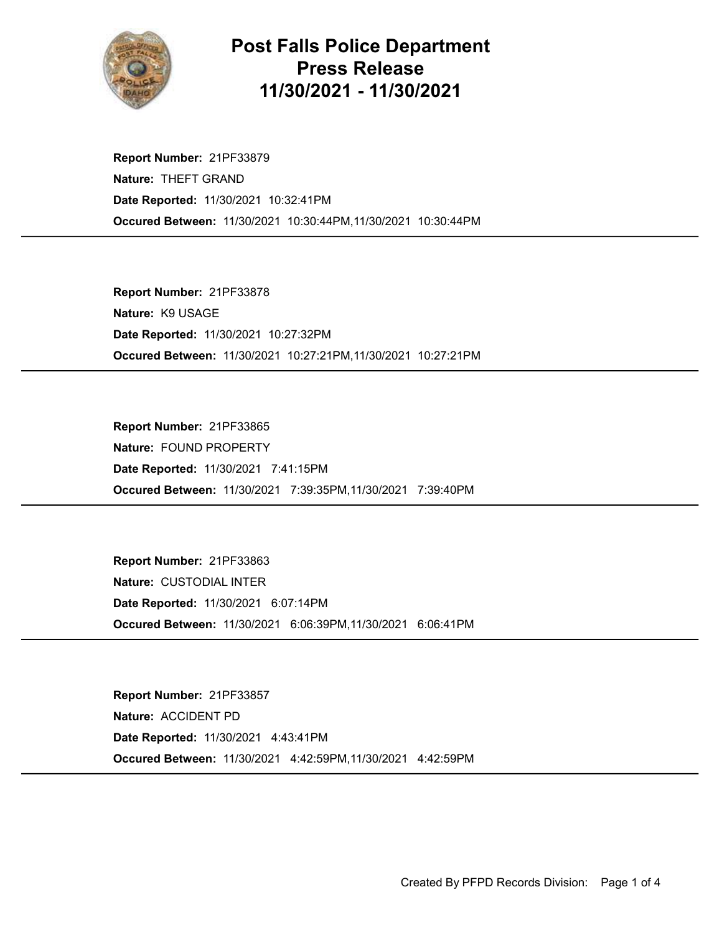

## Post Falls Police Department Press Release 11/30/2021 - 11/30/2021

Occured Between: 11/30/2021 10:30:44PM,11/30/2021 10:30:44PM Report Number: 21PF33879 Nature: THEFT GRAND Date Reported: 11/30/2021 10:32:41PM

Occured Between: 11/30/2021 10:27:21PM,11/30/2021 10:27:21PM Report Number: 21PF33878 Nature: K9 USAGE Date Reported: 11/30/2021 10:27:32PM

Occured Between: 11/30/2021 7:39:35PM,11/30/2021 7:39:40PM Report Number: 21PF33865 Nature: FOUND PROPERTY Date Reported: 11/30/2021 7:41:15PM

Occured Between: 11/30/2021 6:06:39PM,11/30/2021 6:06:41PM Report Number: 21PF33863 Nature: CUSTODIAL INTER Date Reported: 11/30/2021 6:07:14PM

Occured Between: 11/30/2021 4:42:59PM,11/30/2021 4:42:59PM Report Number: 21PF33857 Nature: ACCIDENT PD Date Reported: 11/30/2021 4:43:41PM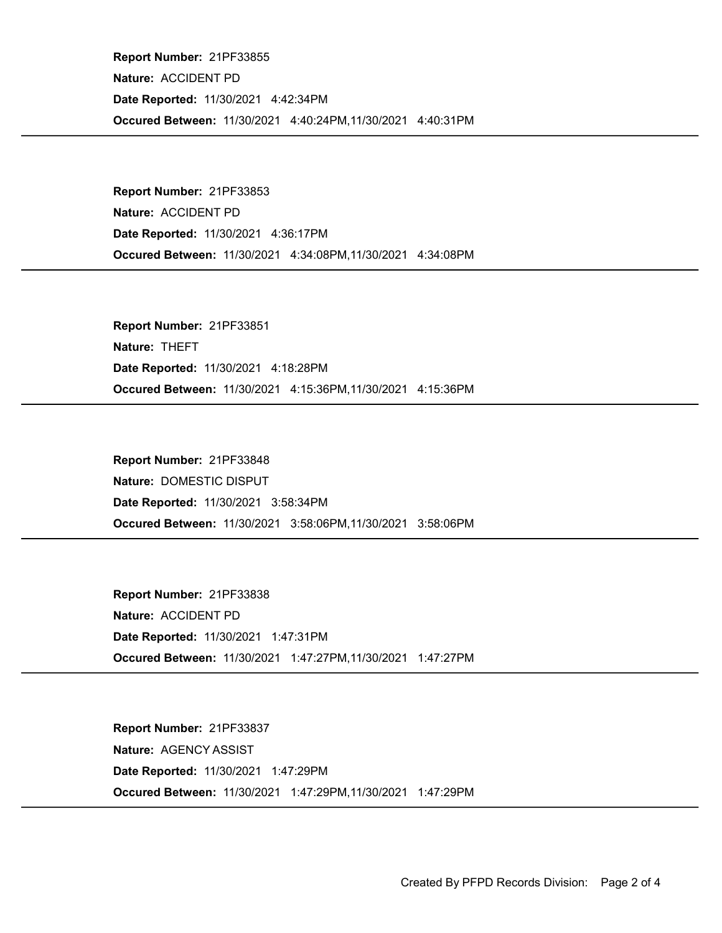Occured Between: 11/30/2021 4:40:24PM,11/30/2021 4:40:31PM Report Number: 21PF33855 Nature: ACCIDENT PD Date Reported: 11/30/2021 4:42:34PM

Occured Between: 11/30/2021 4:34:08PM,11/30/2021 4:34:08PM Report Number: 21PF33853 Nature: ACCIDENT PD Date Reported: 11/30/2021 4:36:17PM

Occured Between: 11/30/2021 4:15:36PM,11/30/2021 4:15:36PM Report Number: 21PF33851 Nature: THEFT Date Reported: 11/30/2021 4:18:28PM

Occured Between: 11/30/2021 3:58:06PM,11/30/2021 3:58:06PM Report Number: 21PF33848 Nature: DOMESTIC DISPUT Date Reported: 11/30/2021 3:58:34PM

Occured Between: 11/30/2021 1:47:27PM,11/30/2021 1:47:27PM Report Number: 21PF33838 Nature: ACCIDENT PD Date Reported: 11/30/2021 1:47:31PM

Occured Between: 11/30/2021 1:47:29PM,11/30/2021 1:47:29PM Report Number: 21PF33837 Nature: AGENCY ASSIST Date Reported: 11/30/2021 1:47:29PM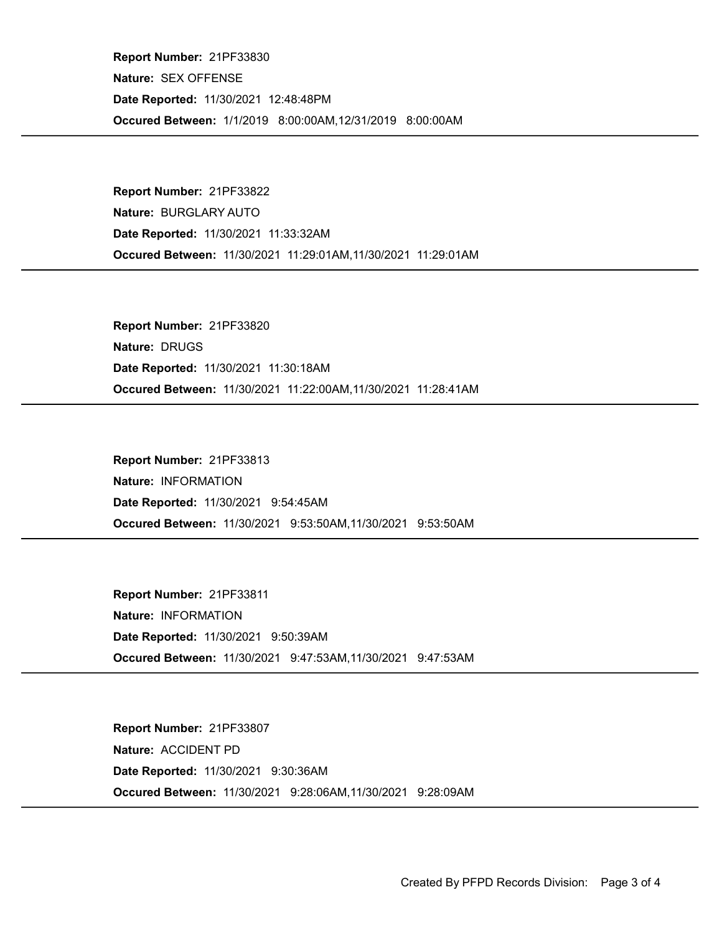Occured Between: 1/1/2019 8:00:00AM,12/31/2019 8:00:00AM Report Number: 21PF33830 Nature: SEX OFFENSE Date Reported: 11/30/2021 12:48:48PM

Occured Between: 11/30/2021 11:29:01AM,11/30/2021 11:29:01AM Report Number: 21PF33822 Nature: BURGLARY AUTO Date Reported: 11/30/2021 11:33:32AM

Occured Between: 11/30/2021 11:22:00AM,11/30/2021 11:28:41AM Report Number: 21PF33820 Nature: DRUGS Date Reported: 11/30/2021 11:30:18AM

Occured Between: 11/30/2021 9:53:50AM,11/30/2021 9:53:50AM Report Number: 21PF33813 Nature: INFORMATION Date Reported: 11/30/2021 9:54:45AM

Occured Between: 11/30/2021 9:47:53AM,11/30/2021 9:47:53AM Report Number: 21PF33811 Nature: INFORMATION Date Reported: 11/30/2021 9:50:39AM

Occured Between: 11/30/2021 9:28:06AM,11/30/2021 9:28:09AM Report Number: 21PF33807 Nature: ACCIDENT PD Date Reported: 11/30/2021 9:30:36AM